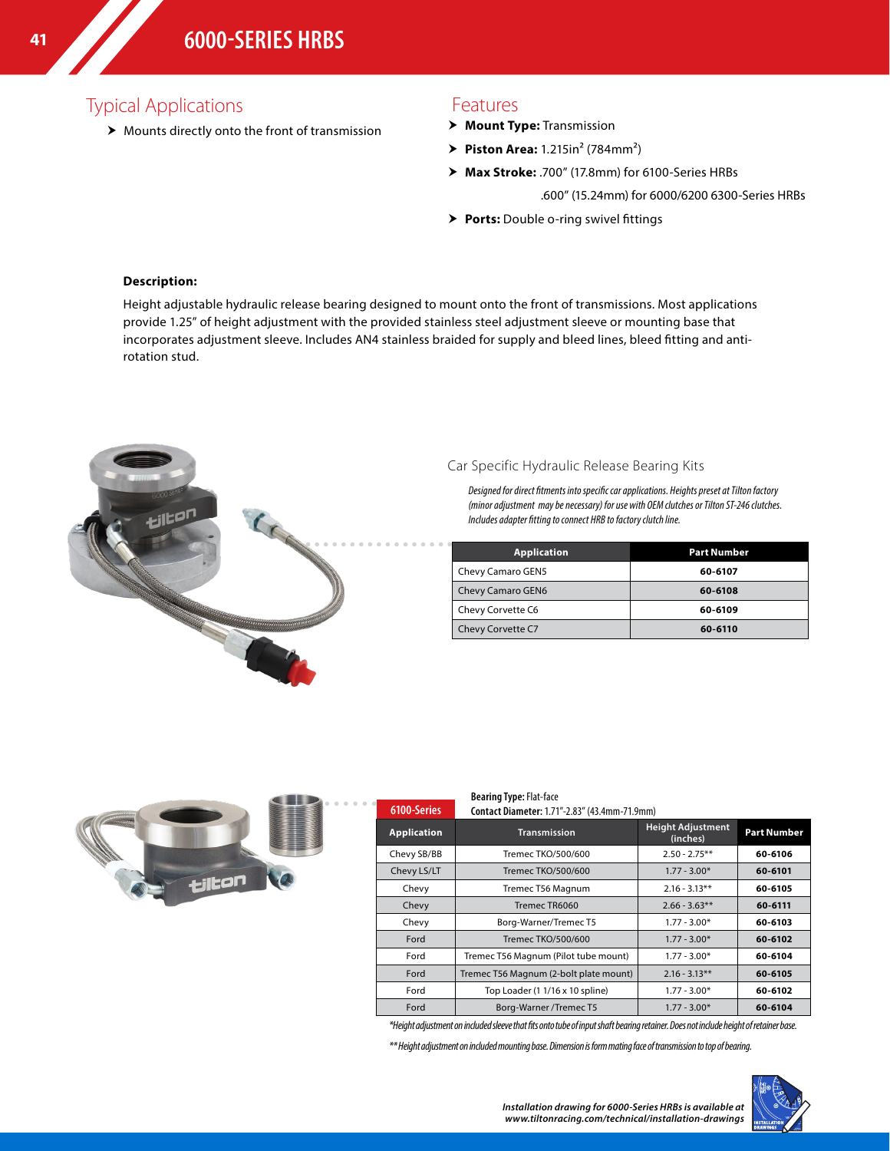## Typical Applications

 $\blacktriangleright$  Mounts directly onto the front of transmission

### Features

- > Mount Type: Transmission
- $\triangleright$  **Piston Area:** 1.215in<sup>2</sup> (784mm<sup>2</sup>)
- h **Max Stroke:** .700" (17.8mm) for 6100-Series HRBs
	- .600" (15.24mm) for 6000/6200 6300-Series HRBs
- **> Ports:** Double o-ring swivel fittings

#### **Description:**

Height adjustable hydraulic release bearing designed to mount onto the front of transmissions. Most applications provide 1.25" of height adjustment with the provided stainless steel adjustment sleeve or mounting base that incorporates adjustment sleeve. Includes AN4 stainless braided for supply and bleed lines, bleed fitting and antirotation stud.



### Car Specific Hydraulic Release Bearing Kits

*Designed for direct fitments into specific car applications. Heights preset at Tilton factory (minor adjustment may be necessary) for use with OEM clutches or Tilton ST-246 clutches. Includes adapter fitting to connect HRB to factory clutch line.*

| <b>Application</b> | <b>Part Number</b> |
|--------------------|--------------------|
| Chevy Camaro GEN5  | 60-6107            |
| Chevy Camaro GEN6  | 60-6108            |
| Chevy Corvette C6  | 60-6109            |
| Chevy Corvette C7  | 60-6110            |



| 6100-Series        | <b>Bearing Type: Flat-face</b><br>Contact Diameter: 1.71"-2.83" (43.4mm-71.9mm) |                                      |                    |
|--------------------|---------------------------------------------------------------------------------|--------------------------------------|--------------------|
| <b>Application</b> | <b>Transmission</b>                                                             | <b>Height Adjustment</b><br>(inches) | <b>Part Number</b> |
| Chevy SB/BB        | Tremec TKO/500/600                                                              | $2.50 - 2.75**$                      | 60-6106            |
| Chevy LS/LT        | Tremec TKO/500/600                                                              | $1.77 - 3.00*$                       | 60-6101            |
| Chevy              | Tremec T56 Magnum                                                               | $2.16 - 3.13**$                      | 60-6105            |
| Chevy              | Tremec TR6060                                                                   | $2.66 - 3.63**$                      | 60-6111            |
| Chevy              | Borg-Warner/Tremec T5                                                           | $1.77 - 3.00*$                       | 60-6103            |
| Ford               | Tremec TKO/500/600                                                              | $1.77 - 3.00*$                       | 60-6102            |
| Ford               | Tremec T56 Magnum (Pilot tube mount)                                            | $1.77 - 3.00*$                       | 60-6104            |
| Ford               | Tremec T56 Magnum (2-bolt plate mount)                                          | $2.16 - 3.13**$                      | 60-6105            |
| Ford               | Top Loader (1 1/16 x 10 spline)                                                 | $1.77 - 3.00*$                       | 60-6102            |
| Ford               | Borg-Warner /Tremec T5                                                          | $1.77 - 3.00*$                       | 60-6104            |

*\*Height adjustment on included sleeve that fits onto tube of input shaft bearing retainer. Does not include height of retainer base.*

*\*\* Height adjustment on included mounting base. Dimension is form mating face of transmission to top of bearing.*